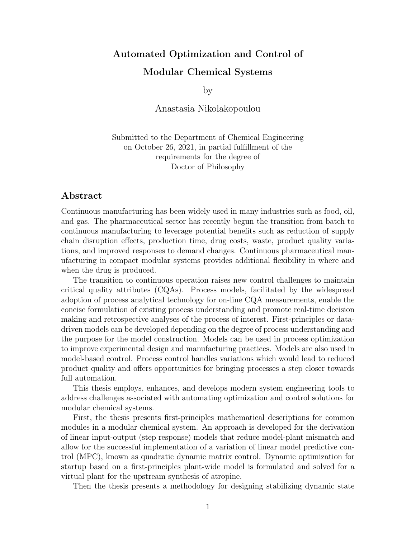## Automated Optimization and Control of Modular Chemical Systems

by

Anastasia Nikolakopoulou

Submitted to the Department of Chemical Engineering on October 26, 2021, in partial fulfillment of the requirements for the degree of Doctor of Philosophy

## Abstract

Continuous manufacturing has been widely used in many industries such as food, oil, and gas. The pharmaceutical sector has recently begun the transition from batch to continuous manufacturing to leverage potential benefits such as reduction of supply chain disruption effects, production time, drug costs, waste, product quality variations, and improved responses to demand changes. Continuous pharmaceutical manufacturing in compact modular systems provides additional flexibility in where and when the drug is produced.

The transition to continuous operation raises new control challenges to maintain critical quality attributes (CQAs). Process models, facilitated by the widespread adoption of process analytical technology for on-line CQA measurements, enable the concise formulation of existing process understanding and promote real-time decision making and retrospective analyses of the process of interest. First-principles or datadriven models can be developed depending on the degree of process understanding and the purpose for the model construction. Models can be used in process optimization to improve experimental design and manufacturing practices. Models are also used in model-based control. Process control handles variations which would lead to reduced product quality and offers opportunities for bringing processes a step closer towards full automation.

This thesis employs, enhances, and develops modern system engineering tools to address challenges associated with automating optimization and control solutions for modular chemical systems.

First, the thesis presents first-principles mathematical descriptions for common modules in a modular chemical system. An approach is developed for the derivation of linear input-output (step response) models that reduce model-plant mismatch and allow for the successful implementation of a variation of linear model predictive control (MPC), known as quadratic dynamic matrix control. Dynamic optimization for startup based on a first-principles plant-wide model is formulated and solved for a virtual plant for the upstream synthesis of atropine.

Then the thesis presents a methodology for designing stabilizing dynamic state